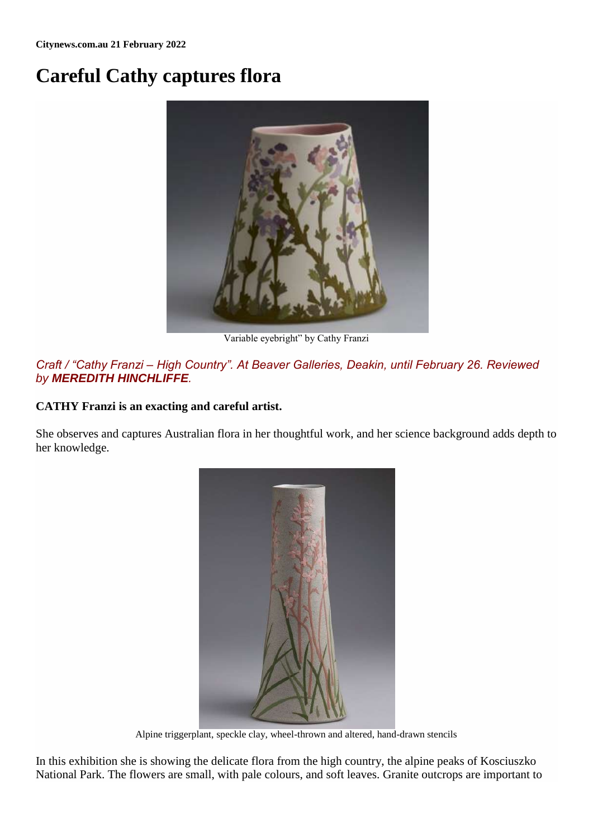## **Careful Cathy captures flora**



Variable eyebright" by Cathy Franzi

## *Craft / "Cathy Franzi – High Country". At Beaver Galleries, Deakin, until February 26. Reviewed by MEREDITH HINCHLIFFE.*

## **CATHY Franzi is an exacting and careful artist.**

She observes and captures Australian flora in her thoughtful work, and her science background adds depth to her knowledge.



Alpine triggerplant, speckle clay, wheel-thrown and altered, hand-drawn stencils

In this exhibition she is showing the delicate flora from the high country, the alpine peaks of Kosciuszko National Park. The flowers are small, with pale colours, and soft leaves. Granite outcrops are important to